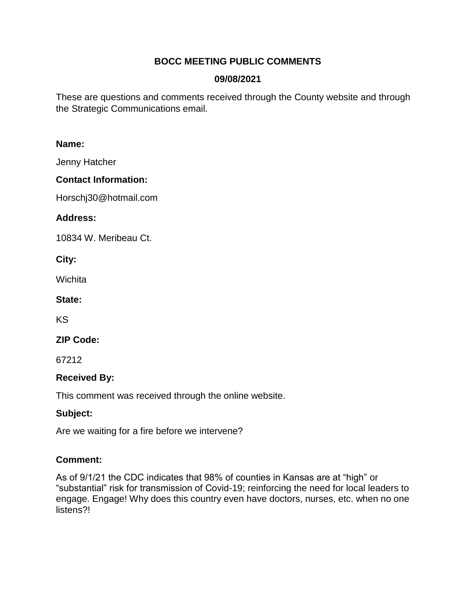# **BOCC MEETING PUBLIC COMMENTS**

## **09/08/2021**

These are questions and comments received through the County website and through the Strategic Communications email.

### **Name:**

Jenny Hatcher

### **Contact Information:**

Horschj30@hotmail.com

### **Address:**

10834 W. Meribeau Ct.

**City:** 

Wichita

**State:** 

KS

**ZIP Code:** 

67212

### **Received By:**

This comment was received through the online website.

### **Subject:**

Are we waiting for a fire before we intervene?

### **Comment:**

As of 9/1/21 the CDC indicates that 98% of counties in Kansas are at "high" or "substantial" risk for transmission of Covid-19; reinforcing the need for local leaders to engage. Engage! Why does this country even have doctors, nurses, etc. when no one listens?!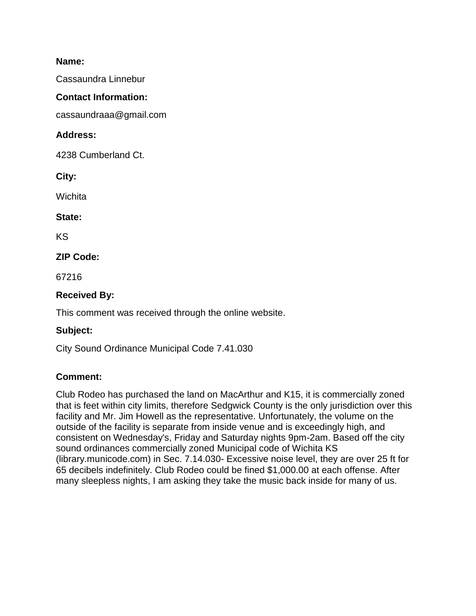Cassaundra Linnebur

#### **Contact Information:**

cassaundraaa@gmail.com

### **Address:**

4238 Cumberland Ct.

**City:** 

**Wichita** 

**State:** 

KS

# **ZIP Code:**

67216

# **Received By:**

This comment was received through the online website.

### **Subject:**

City Sound Ordinance Municipal Code 7.41.030

### **Comment:**

Club Rodeo has purchased the land on MacArthur and K15, it is commercially zoned that is feet within city limits, therefore Sedgwick County is the only jurisdiction over this facility and Mr. Jim Howell as the representative. Unfortunately, the volume on the outside of the facility is separate from inside venue and is exceedingly high, and consistent on Wednesday's, Friday and Saturday nights 9pm-2am. Based off the city sound ordinances commercially zoned Municipal code of Wichita KS (library.municode.com) in Sec. 7.14.030- Excessive noise level, they are over 25 ft for 65 decibels indefinitely. Club Rodeo could be fined \$1,000.00 at each offense. After many sleepless nights, I am asking they take the music back inside for many of us.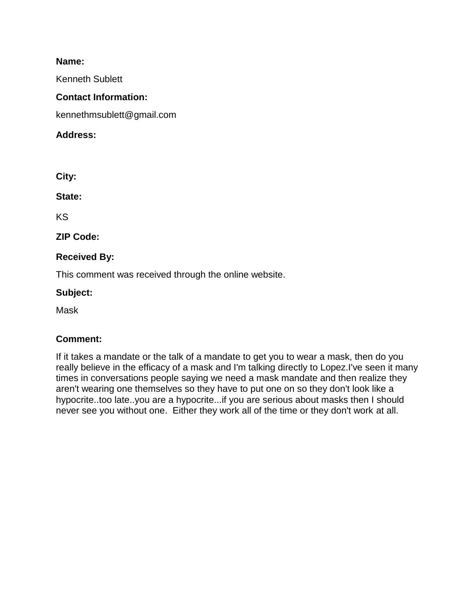Kenneth Sublett

#### **Contact Information:**

kennethmsublett@gmail.com

#### **Address:**

**City:** 

**State:** 

KS

**ZIP Code:** 

### **Received By:**

This comment was received through the online website.

#### **Subject:**

Mask

### **Comment:**

If it takes a mandate or the talk of a mandate to get you to wear a mask, then do you really believe in the efficacy of a mask and I'm talking directly to Lopez.I've seen it many times in conversations people saying we need a mask mandate and then realize they aren't wearing one themselves so they have to put one on so they don't look like a hypocrite..too late..you are a hypocrite...if you are serious about masks then I should never see you without one. Either they work all of the time or they don't work at all.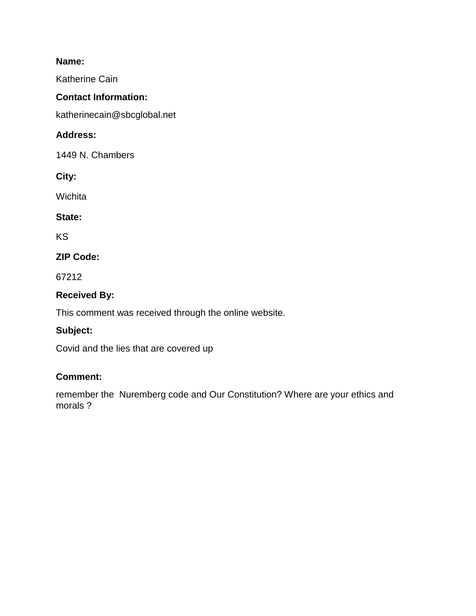Katherine Cain

### **Contact Information:**

katherinecain@sbcglobal.net

## **Address:**

1449 N. Chambers

**City:** 

**Wichita** 

### **State:**

KS

# **ZIP Code:**

67212

# **Received By:**

This comment was received through the online website.

# **Subject:**

Covid and the lies that are covered up

### **Comment:**

remember the Nuremberg code and Our Constitution? Where are your ethics and morals ?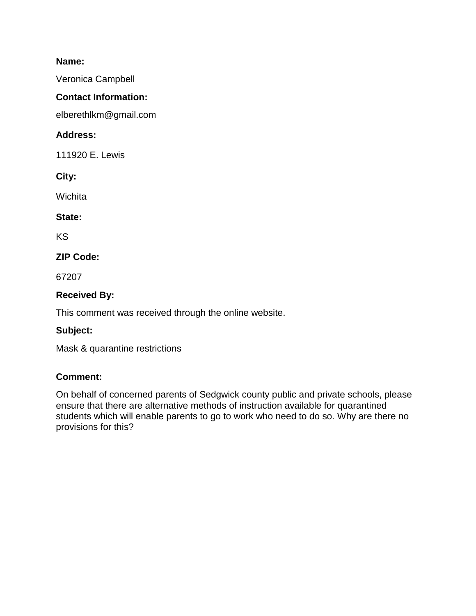Veronica Campbell

# **Contact Information:**

elberethlkm@gmail.com

# **Address:**

111920 E. Lewis

**City:** 

Wichita

### **State:**

KS

# **ZIP Code:**

67207

# **Received By:**

This comment was received through the online website.

### **Subject:**

Mask & quarantine restrictions

### **Comment:**

On behalf of concerned parents of Sedgwick county public and private schools, please ensure that there are alternative methods of instruction available for quarantined students which will enable parents to go to work who need to do so. Why are there no provisions for this?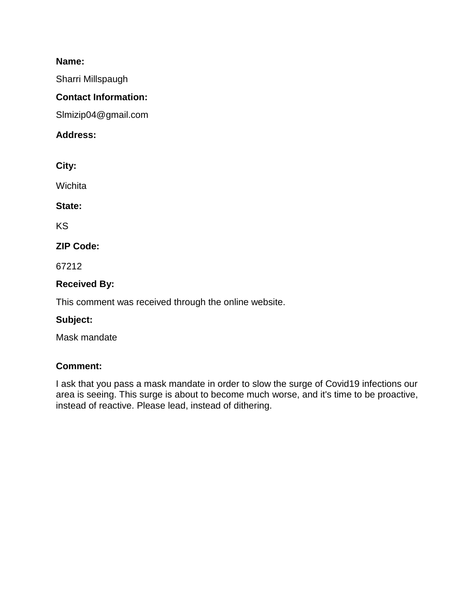Sharri Millspaugh

### **Contact Information:**

Slmizip04@gmail.com

### **Address:**

**City:** 

Wichita

### **State:**

KS

# **ZIP Code:**

67212

# **Received By:**

This comment was received through the online website.

### **Subject:**

Mask mandate

### **Comment:**

I ask that you pass a mask mandate in order to slow the surge of Covid19 infections our area is seeing. This surge is about to become much worse, and it's time to be proactive, instead of reactive. Please lead, instead of dithering.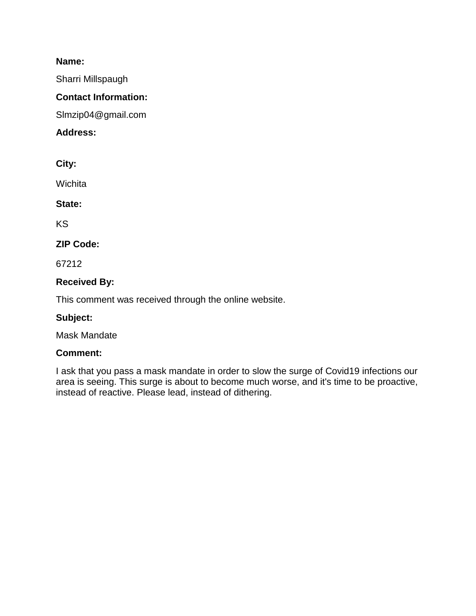Sharri Millspaugh

### **Contact Information:**

Slmzip04@gmail.com

### **Address:**

**City:** 

Wichita

**State:** 

KS

### **ZIP Code:**

67212

### **Received By:**

This comment was received through the online website.

### **Subject:**

Mask Mandate

### **Comment:**

I ask that you pass a mask mandate in order to slow the surge of Covid19 infections our area is seeing. This surge is about to become much worse, and it's time to be proactive, instead of reactive. Please lead, instead of dithering.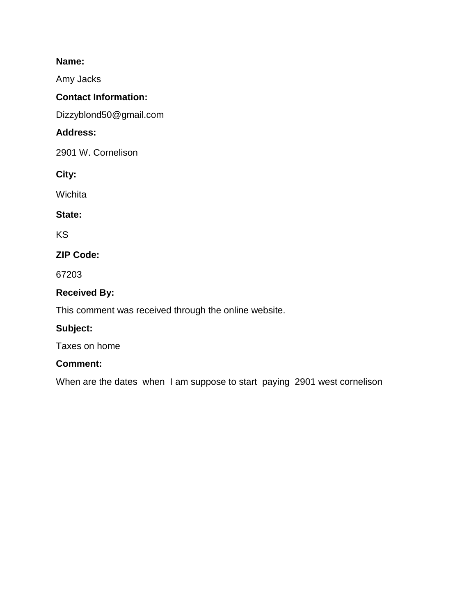Amy Jacks

### **Contact Information:**

Dizzyblond50@gmail.com

# **Address:**

2901 W. Cornelison

**City:** 

**Wichita** 

### **State:**

KS

# **ZIP Code:**

67203

# **Received By:**

This comment was received through the online website.

### **Subject:**

Taxes on home

### **Comment:**

When are the dates when I am suppose to start paying 2901 west cornelison